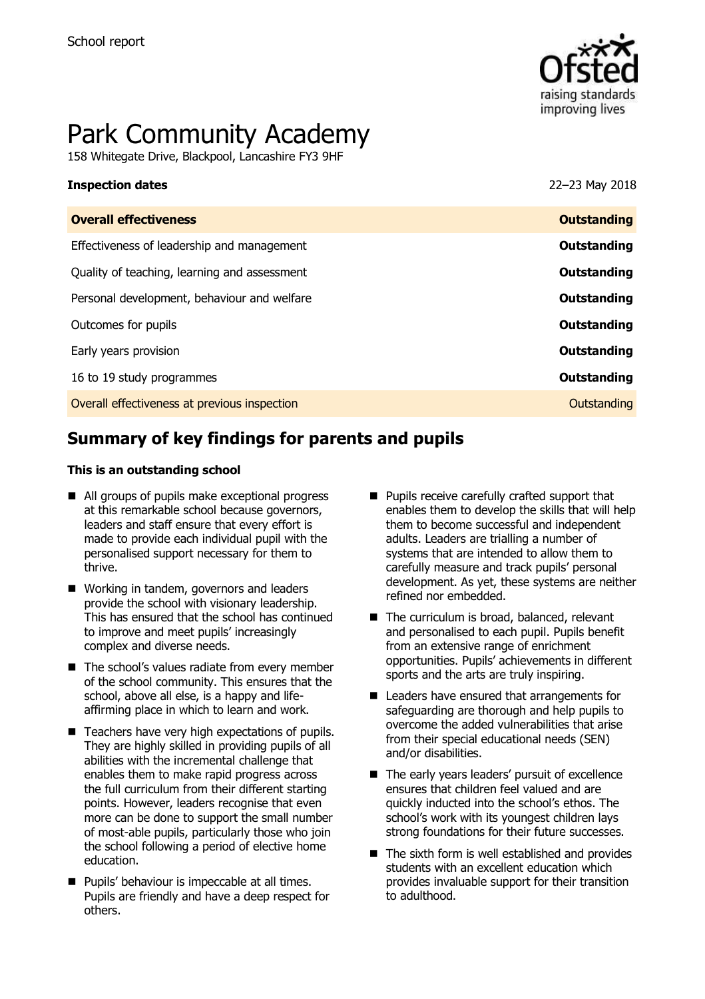

# Park Community Academy

158 Whitegate Drive, Blackpool, Lancashire FY3 9HF

#### **Inspection dates** 22–23 May 2018

| <b>Overall effectiveness</b>                 | <b>Outstanding</b> |
|----------------------------------------------|--------------------|
| Effectiveness of leadership and management   | Outstanding        |
| Quality of teaching, learning and assessment | <b>Outstanding</b> |
| Personal development, behaviour and welfare  | Outstanding        |
| Outcomes for pupils                          | Outstanding        |
| Early years provision                        | Outstanding        |
| 16 to 19 study programmes                    | Outstanding        |
| Overall effectiveness at previous inspection | Outstanding        |
|                                              |                    |

# **Summary of key findings for parents and pupils**

#### **This is an outstanding school**

- All groups of pupils make exceptional progress at this remarkable school because governors, leaders and staff ensure that every effort is made to provide each individual pupil with the personalised support necessary for them to thrive.
- Working in tandem, governors and leaders provide the school with visionary leadership. This has ensured that the school has continued to improve and meet pupils' increasingly complex and diverse needs.
- The school's values radiate from every member of the school community. This ensures that the school, above all else, is a happy and lifeaffirming place in which to learn and work.
- Teachers have very high expectations of pupils. They are highly skilled in providing pupils of all abilities with the incremental challenge that enables them to make rapid progress across the full curriculum from their different starting points. However, leaders recognise that even more can be done to support the small number of most-able pupils, particularly those who join the school following a period of elective home education.
- **Pupils' behaviour is impeccable at all times.** Pupils are friendly and have a deep respect for others.
- **Pupils receive carefully crafted support that** enables them to develop the skills that will help them to become successful and independent adults. Leaders are trialling a number of systems that are intended to allow them to carefully measure and track pupils' personal development. As yet, these systems are neither refined nor embedded.
- The curriculum is broad, balanced, relevant and personalised to each pupil. Pupils benefit from an extensive range of enrichment opportunities. Pupils' achievements in different sports and the arts are truly inspiring.
- Leaders have ensured that arrangements for safeguarding are thorough and help pupils to overcome the added vulnerabilities that arise from their special educational needs (SEN) and/or disabilities.
- The early years leaders' pursuit of excellence ensures that children feel valued and are quickly inducted into the school's ethos. The school's work with its youngest children lays strong foundations for their future successes.
- $\blacksquare$  The sixth form is well established and provides students with an excellent education which provides invaluable support for their transition to adulthood.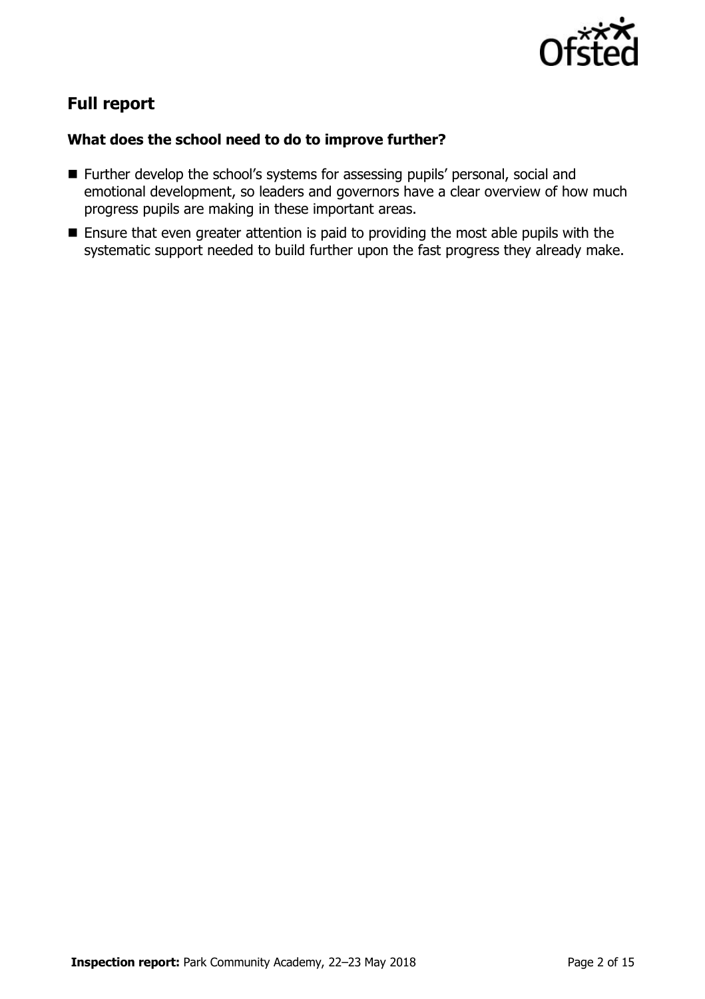

# **Full report**

### **What does the school need to do to improve further?**

- Further develop the school's systems for assessing pupils' personal, social and emotional development, so leaders and governors have a clear overview of how much progress pupils are making in these important areas.
- **Ensure that even greater attention is paid to providing the most able pupils with the** systematic support needed to build further upon the fast progress they already make.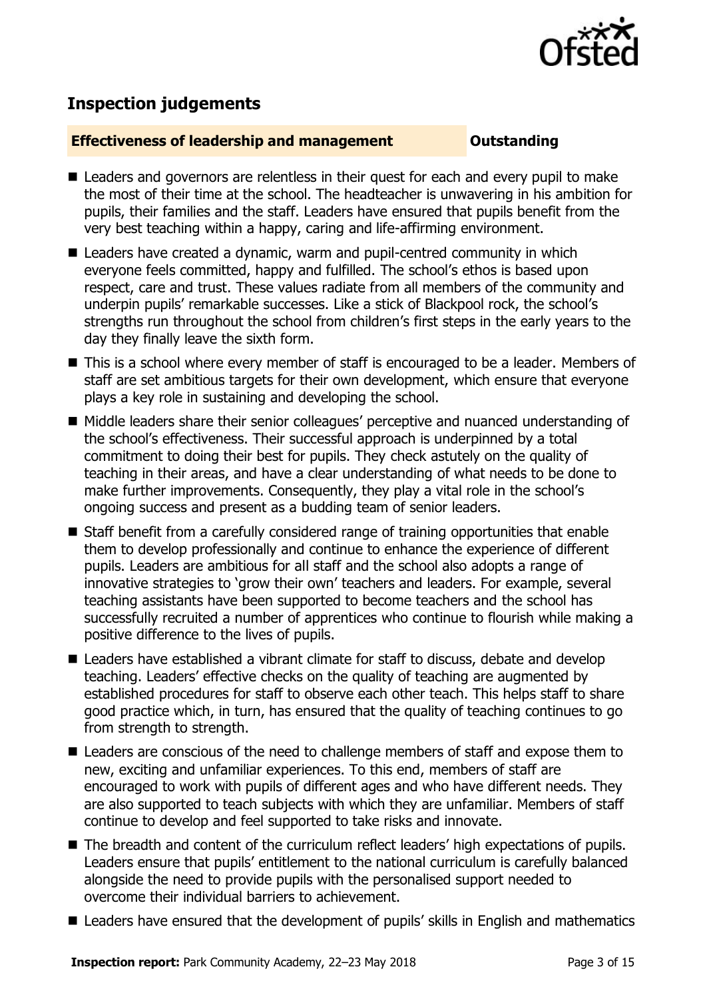

## **Inspection judgements**

#### **Effectiveness of leadership and management Cultum Outstanding**

- **E** Leaders and governors are relentless in their quest for each and every pupil to make the most of their time at the school. The headteacher is unwavering in his ambition for pupils, their families and the staff. Leaders have ensured that pupils benefit from the very best teaching within a happy, caring and life-affirming environment.
- Leaders have created a dynamic, warm and pupil-centred community in which everyone feels committed, happy and fulfilled. The school's ethos is based upon respect, care and trust. These values radiate from all members of the community and underpin pupils' remarkable successes. Like a stick of Blackpool rock, the school's strengths run throughout the school from children's first steps in the early years to the day they finally leave the sixth form.
- This is a school where every member of staff is encouraged to be a leader. Members of staff are set ambitious targets for their own development, which ensure that everyone plays a key role in sustaining and developing the school.
- Middle leaders share their senior colleagues' perceptive and nuanced understanding of the school's effectiveness. Their successful approach is underpinned by a total commitment to doing their best for pupils. They check astutely on the quality of teaching in their areas, and have a clear understanding of what needs to be done to make further improvements. Consequently, they play a vital role in the school's ongoing success and present as a budding team of senior leaders.
- Staff benefit from a carefully considered range of training opportunities that enable them to develop professionally and continue to enhance the experience of different pupils. Leaders are ambitious for all staff and the school also adopts a range of innovative strategies to 'grow their own' teachers and leaders. For example, several teaching assistants have been supported to become teachers and the school has successfully recruited a number of apprentices who continue to flourish while making a positive difference to the lives of pupils.
- Leaders have established a vibrant climate for staff to discuss, debate and develop teaching. Leaders' effective checks on the quality of teaching are augmented by established procedures for staff to observe each other teach. This helps staff to share good practice which, in turn, has ensured that the quality of teaching continues to go from strength to strength.
- Leaders are conscious of the need to challenge members of staff and expose them to new, exciting and unfamiliar experiences. To this end, members of staff are encouraged to work with pupils of different ages and who have different needs. They are also supported to teach subjects with which they are unfamiliar. Members of staff continue to develop and feel supported to take risks and innovate.
- The breadth and content of the curriculum reflect leaders' high expectations of pupils. Leaders ensure that pupils' entitlement to the national curriculum is carefully balanced alongside the need to provide pupils with the personalised support needed to overcome their individual barriers to achievement.
- Leaders have ensured that the development of pupils' skills in English and mathematics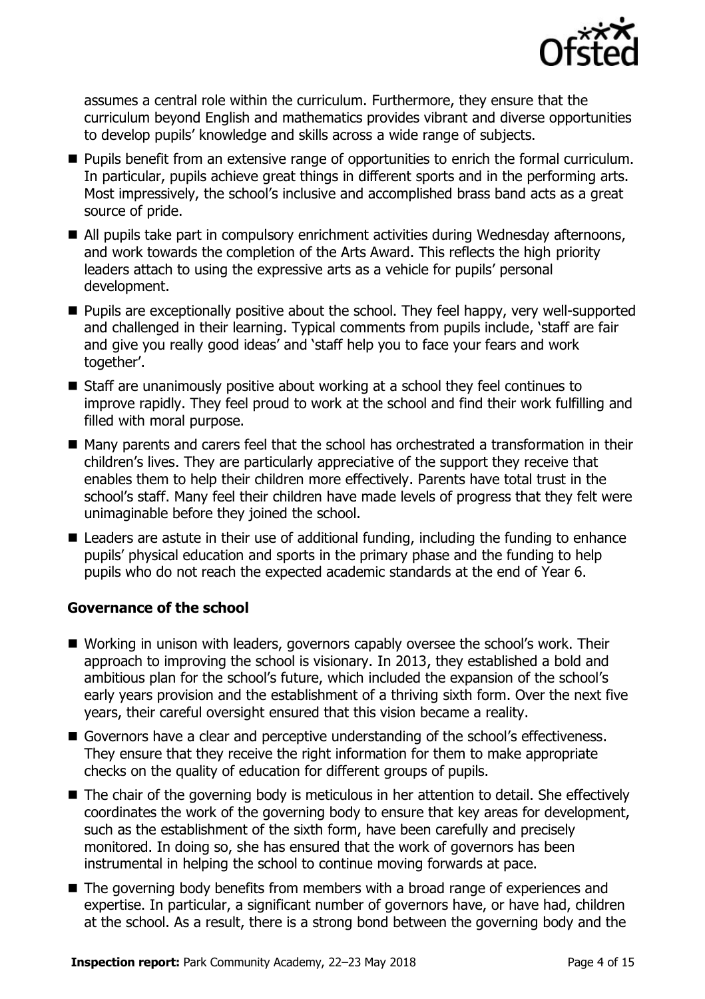

assumes a central role within the curriculum. Furthermore, they ensure that the curriculum beyond English and mathematics provides vibrant and diverse opportunities to develop pupils' knowledge and skills across a wide range of subjects.

- **Pupils benefit from an extensive range of opportunities to enrich the formal curriculum.** In particular, pupils achieve great things in different sports and in the performing arts. Most impressively, the school's inclusive and accomplished brass band acts as a great source of pride.
- All pupils take part in compulsory enrichment activities during Wednesday afternoons, and work towards the completion of the Arts Award. This reflects the high priority leaders attach to using the expressive arts as a vehicle for pupils' personal development.
- **Pupils are exceptionally positive about the school. They feel happy, very well-supported** and challenged in their learning. Typical comments from pupils include, 'staff are fair and give you really good ideas' and 'staff help you to face your fears and work together'.
- Staff are unanimously positive about working at a school they feel continues to improve rapidly. They feel proud to work at the school and find their work fulfilling and filled with moral purpose.
- Many parents and carers feel that the school has orchestrated a transformation in their children's lives. They are particularly appreciative of the support they receive that enables them to help their children more effectively. Parents have total trust in the school's staff. Many feel their children have made levels of progress that they felt were unimaginable before they joined the school.
- Leaders are astute in their use of additional funding, including the funding to enhance pupils' physical education and sports in the primary phase and the funding to help pupils who do not reach the expected academic standards at the end of Year 6.

### **Governance of the school**

- Working in unison with leaders, governors capably oversee the school's work. Their approach to improving the school is visionary. In 2013, they established a bold and ambitious plan for the school's future, which included the expansion of the school's early years provision and the establishment of a thriving sixth form. Over the next five years, their careful oversight ensured that this vision became a reality.
- Governors have a clear and perceptive understanding of the school's effectiveness. They ensure that they receive the right information for them to make appropriate checks on the quality of education for different groups of pupils.
- The chair of the governing body is meticulous in her attention to detail. She effectively coordinates the work of the governing body to ensure that key areas for development, such as the establishment of the sixth form, have been carefully and precisely monitored. In doing so, she has ensured that the work of governors has been instrumental in helping the school to continue moving forwards at pace.
- The governing body benefits from members with a broad range of experiences and expertise. In particular, a significant number of governors have, or have had, children at the school. As a result, there is a strong bond between the governing body and the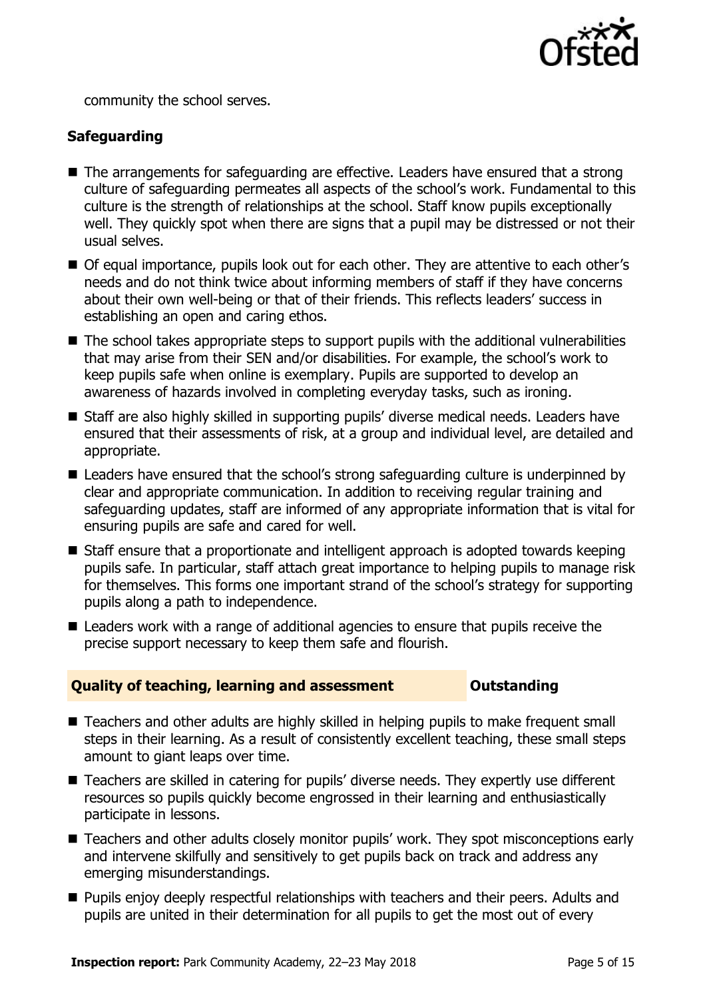

community the school serves.

### **Safeguarding**

- The arrangements for safeguarding are effective. Leaders have ensured that a strong culture of safeguarding permeates all aspects of the school's work. Fundamental to this culture is the strength of relationships at the school. Staff know pupils exceptionally well. They quickly spot when there are signs that a pupil may be distressed or not their usual selves.
- Of equal importance, pupils look out for each other. They are attentive to each other's needs and do not think twice about informing members of staff if they have concerns about their own well-being or that of their friends. This reflects leaders' success in establishing an open and caring ethos.
- The school takes appropriate steps to support pupils with the additional vulnerabilities that may arise from their SEN and/or disabilities. For example, the school's work to keep pupils safe when online is exemplary. Pupils are supported to develop an awareness of hazards involved in completing everyday tasks, such as ironing.
- Staff are also highly skilled in supporting pupils' diverse medical needs. Leaders have ensured that their assessments of risk, at a group and individual level, are detailed and appropriate.
- Leaders have ensured that the school's strong safeguarding culture is underpinned by clear and appropriate communication. In addition to receiving regular training and safeguarding updates, staff are informed of any appropriate information that is vital for ensuring pupils are safe and cared for well.
- Staff ensure that a proportionate and intelligent approach is adopted towards keeping pupils safe. In particular, staff attach great importance to helping pupils to manage risk for themselves. This forms one important strand of the school's strategy for supporting pupils along a path to independence.
- Leaders work with a range of additional agencies to ensure that pupils receive the precise support necessary to keep them safe and flourish.

#### **Quality of teaching, learning and assessment Outstanding**

- Teachers and other adults are highly skilled in helping pupils to make frequent small steps in their learning. As a result of consistently excellent teaching, these small steps amount to giant leaps over time.
- Teachers are skilled in catering for pupils' diverse needs. They expertly use different resources so pupils quickly become engrossed in their learning and enthusiastically participate in lessons.
- Teachers and other adults closely monitor pupils' work. They spot misconceptions early and intervene skilfully and sensitively to get pupils back on track and address any emerging misunderstandings.
- **Pupils enjoy deeply respectful relationships with teachers and their peers. Adults and** pupils are united in their determination for all pupils to get the most out of every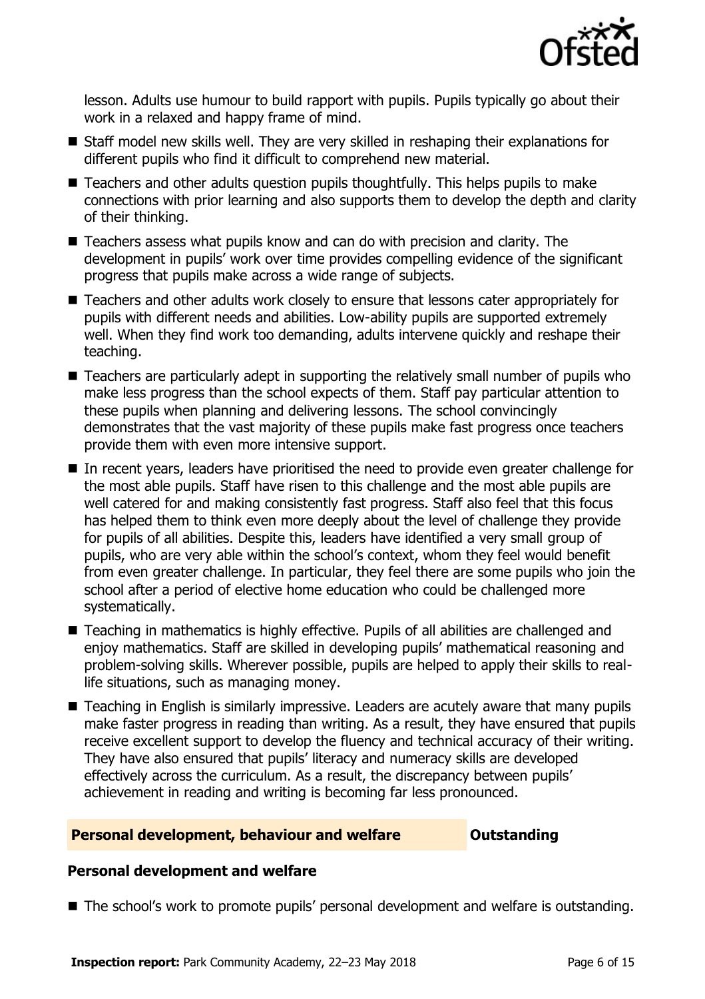

lesson. Adults use humour to build rapport with pupils. Pupils typically go about their work in a relaxed and happy frame of mind.

- Staff model new skills well. They are very skilled in reshaping their explanations for different pupils who find it difficult to comprehend new material.
- Teachers and other adults question pupils thoughtfully. This helps pupils to make connections with prior learning and also supports them to develop the depth and clarity of their thinking.
- Teachers assess what pupils know and can do with precision and clarity. The development in pupils' work over time provides compelling evidence of the significant progress that pupils make across a wide range of subjects.
- Teachers and other adults work closely to ensure that lessons cater appropriately for pupils with different needs and abilities. Low-ability pupils are supported extremely well. When they find work too demanding, adults intervene quickly and reshape their teaching.
- Teachers are particularly adept in supporting the relatively small number of pupils who make less progress than the school expects of them. Staff pay particular attention to these pupils when planning and delivering lessons. The school convincingly demonstrates that the vast majority of these pupils make fast progress once teachers provide them with even more intensive support.
- In recent years, leaders have prioritised the need to provide even greater challenge for the most able pupils. Staff have risen to this challenge and the most able pupils are well catered for and making consistently fast progress. Staff also feel that this focus has helped them to think even more deeply about the level of challenge they provide for pupils of all abilities. Despite this, leaders have identified a very small group of pupils, who are very able within the school's context, whom they feel would benefit from even greater challenge. In particular, they feel there are some pupils who join the school after a period of elective home education who could be challenged more systematically.
- Teaching in mathematics is highly effective. Pupils of all abilities are challenged and enjoy mathematics. Staff are skilled in developing pupils' mathematical reasoning and problem-solving skills. Wherever possible, pupils are helped to apply their skills to reallife situations, such as managing money.
- Teaching in English is similarly impressive. Leaders are acutely aware that many pupils make faster progress in reading than writing. As a result, they have ensured that pupils receive excellent support to develop the fluency and technical accuracy of their writing. They have also ensured that pupils' literacy and numeracy skills are developed effectively across the curriculum. As a result, the discrepancy between pupils' achievement in reading and writing is becoming far less pronounced.

### **Personal development, behaviour and welfare <b>COUTS** Outstanding

#### **Personal development and welfare**

■ The school's work to promote pupils' personal development and welfare is outstanding.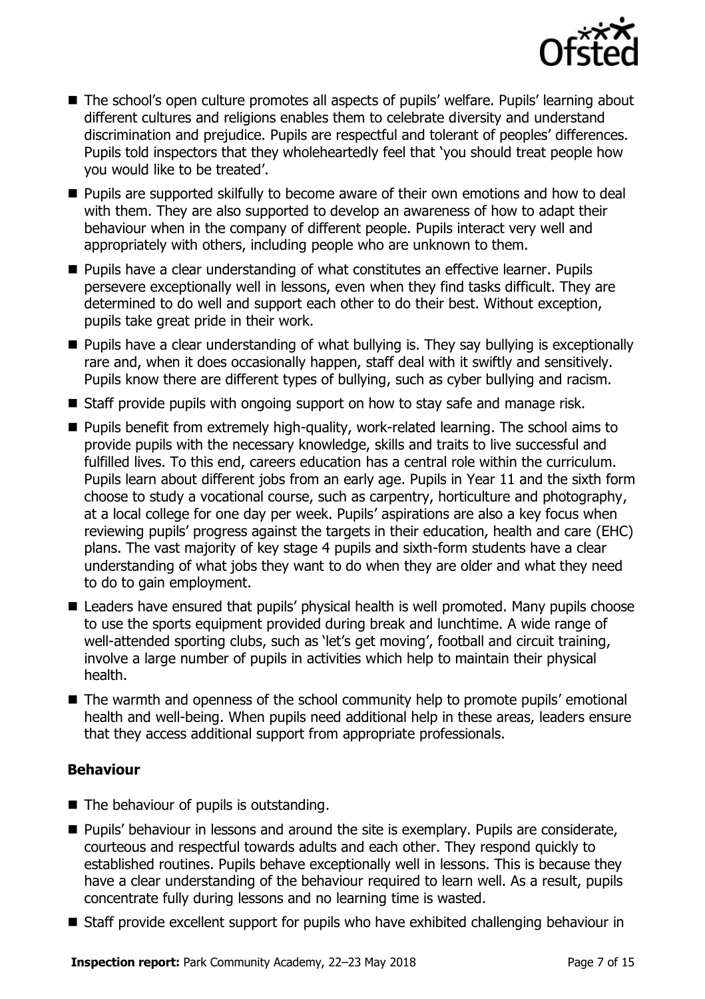

- The school's open culture promotes all aspects of pupils' welfare. Pupils' learning about different cultures and religions enables them to celebrate diversity and understand discrimination and prejudice. Pupils are respectful and tolerant of peoples' differences. Pupils told inspectors that they wholeheartedly feel that 'you should treat people how you would like to be treated'.
- **Pupils are supported skilfully to become aware of their own emotions and how to deal** with them. They are also supported to develop an awareness of how to adapt their behaviour when in the company of different people. Pupils interact very well and appropriately with others, including people who are unknown to them.
- Pupils have a clear understanding of what constitutes an effective learner. Pupils persevere exceptionally well in lessons, even when they find tasks difficult. They are determined to do well and support each other to do their best. Without exception, pupils take great pride in their work.
- **Pupils have a clear understanding of what bullying is. They say bullying is exceptionally** rare and, when it does occasionally happen, staff deal with it swiftly and sensitively. Pupils know there are different types of bullying, such as cyber bullying and racism.
- Staff provide pupils with ongoing support on how to stay safe and manage risk.
- **Pupils benefit from extremely high-quality, work-related learning. The school aims to** provide pupils with the necessary knowledge, skills and traits to live successful and fulfilled lives. To this end, careers education has a central role within the curriculum. Pupils learn about different jobs from an early age. Pupils in Year 11 and the sixth form choose to study a vocational course, such as carpentry, horticulture and photography, at a local college for one day per week. Pupils' aspirations are also a key focus when reviewing pupils' progress against the targets in their education, health and care (EHC) plans. The vast majority of key stage 4 pupils and sixth-form students have a clear understanding of what jobs they want to do when they are older and what they need to do to gain employment.
- Leaders have ensured that pupils' physical health is well promoted. Many pupils choose to use the sports equipment provided during break and lunchtime. A wide range of well-attended sporting clubs, such as 'let's get moving', football and circuit training, involve a large number of pupils in activities which help to maintain their physical health.
- The warmth and openness of the school community help to promote pupils' emotional health and well-being. When pupils need additional help in these areas, leaders ensure that they access additional support from appropriate professionals.

### **Behaviour**

- $\blacksquare$  The behaviour of pupils is outstanding.
- **Pupils' behaviour in lessons and around the site is exemplary. Pupils are considerate,** courteous and respectful towards adults and each other. They respond quickly to established routines. Pupils behave exceptionally well in lessons. This is because they have a clear understanding of the behaviour required to learn well. As a result, pupils concentrate fully during lessons and no learning time is wasted.
- Staff provide excellent support for pupils who have exhibited challenging behaviour in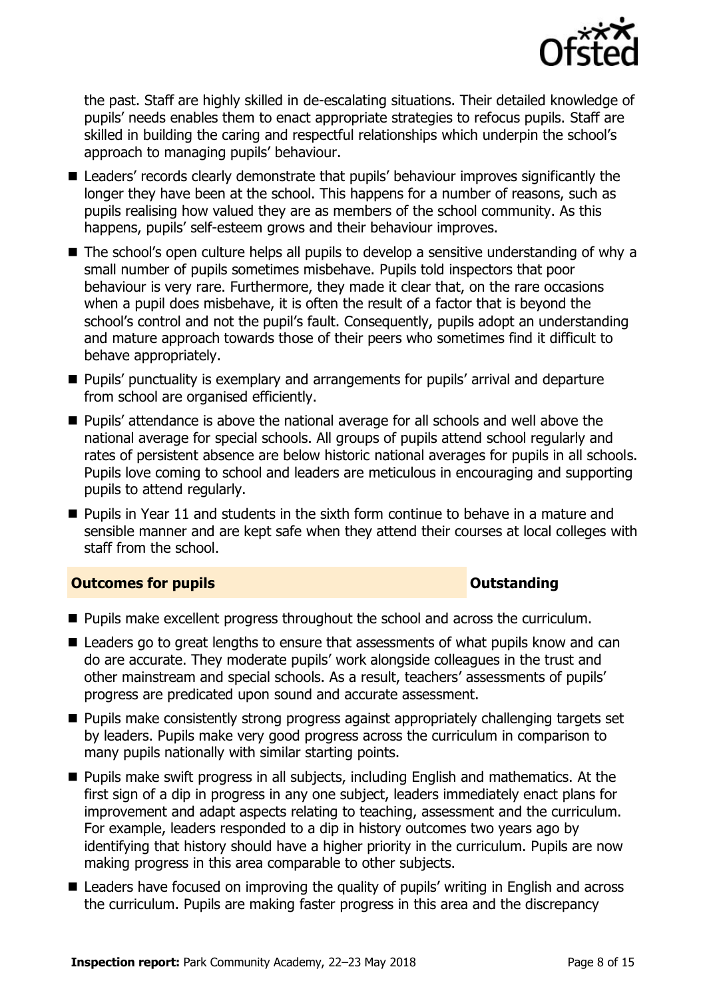

the past. Staff are highly skilled in de-escalating situations. Their detailed knowledge of pupils' needs enables them to enact appropriate strategies to refocus pupils. Staff are skilled in building the caring and respectful relationships which underpin the school's approach to managing pupils' behaviour.

- **E** Leaders' records clearly demonstrate that pupils' behaviour improves significantly the longer they have been at the school. This happens for a number of reasons, such as pupils realising how valued they are as members of the school community. As this happens, pupils' self-esteem grows and their behaviour improves.
- The school's open culture helps all pupils to develop a sensitive understanding of why a small number of pupils sometimes misbehave. Pupils told inspectors that poor behaviour is very rare. Furthermore, they made it clear that, on the rare occasions when a pupil does misbehave, it is often the result of a factor that is beyond the school's control and not the pupil's fault. Consequently, pupils adopt an understanding and mature approach towards those of their peers who sometimes find it difficult to behave appropriately.
- **Pupils' punctuality is exemplary and arrangements for pupils' arrival and departure** from school are organised efficiently.
- **Pupils' attendance is above the national average for all schools and well above the** national average for special schools. All groups of pupils attend school regularly and rates of persistent absence are below historic national averages for pupils in all schools. Pupils love coming to school and leaders are meticulous in encouraging and supporting pupils to attend regularly.
- $\blacksquare$  Pupils in Year 11 and students in the sixth form continue to behave in a mature and sensible manner and are kept safe when they attend their courses at local colleges with staff from the school.

#### **Outcomes for pupils Outstanding**

- **Pupils make excellent progress throughout the school and across the curriculum.**
- Leaders go to great lengths to ensure that assessments of what pupils know and can do are accurate. They moderate pupils' work alongside colleagues in the trust and other mainstream and special schools. As a result, teachers' assessments of pupils' progress are predicated upon sound and accurate assessment.
- **Pupils make consistently strong progress against appropriately challenging targets set** by leaders. Pupils make very good progress across the curriculum in comparison to many pupils nationally with similar starting points.
- **Pupils make swift progress in all subjects, including English and mathematics. At the** first sign of a dip in progress in any one subject, leaders immediately enact plans for improvement and adapt aspects relating to teaching, assessment and the curriculum. For example, leaders responded to a dip in history outcomes two years ago by identifying that history should have a higher priority in the curriculum. Pupils are now making progress in this area comparable to other subjects.
- Leaders have focused on improving the quality of pupils' writing in English and across the curriculum. Pupils are making faster progress in this area and the discrepancy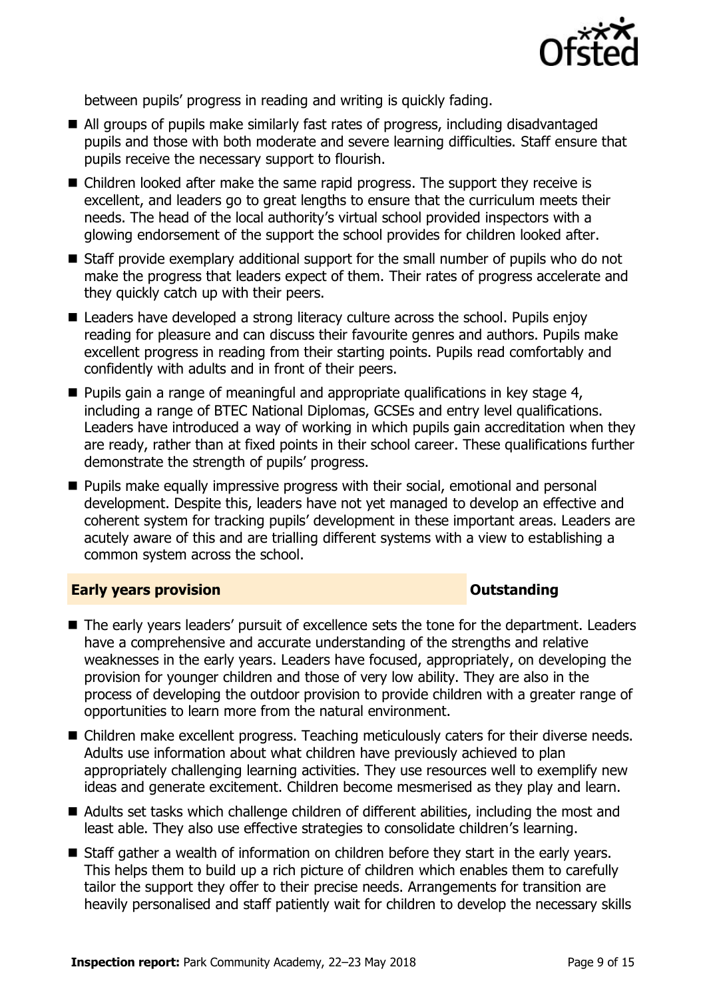

between pupils' progress in reading and writing is quickly fading.

- All groups of pupils make similarly fast rates of progress, including disadvantaged pupils and those with both moderate and severe learning difficulties. Staff ensure that pupils receive the necessary support to flourish.
- Children looked after make the same rapid progress. The support they receive is excellent, and leaders go to great lengths to ensure that the curriculum meets their needs. The head of the local authority's virtual school provided inspectors with a glowing endorsement of the support the school provides for children looked after.
- Staff provide exemplary additional support for the small number of pupils who do not make the progress that leaders expect of them. Their rates of progress accelerate and they quickly catch up with their peers.
- Leaders have developed a strong literacy culture across the school. Pupils enjoy reading for pleasure and can discuss their favourite genres and authors. Pupils make excellent progress in reading from their starting points. Pupils read comfortably and confidently with adults and in front of their peers.
- $\blacksquare$  Pupils gain a range of meaningful and appropriate qualifications in key stage 4, including a range of BTEC National Diplomas, GCSEs and entry level qualifications. Leaders have introduced a way of working in which pupils gain accreditation when they are ready, rather than at fixed points in their school career. These qualifications further demonstrate the strength of pupils' progress.
- Pupils make equally impressive progress with their social, emotional and personal development. Despite this, leaders have not yet managed to develop an effective and coherent system for tracking pupils' development in these important areas. Leaders are acutely aware of this and are trialling different systems with a view to establishing a common system across the school.

### **Early years provision CONSTANDING TO A RESEARCH CONSTANDING TO A RESEARCH CONSTANDING TO A RESEARCH CONSTANDING TO A RESEARCH CONSTANDING TO A RESEARCH CONSTANDING TO A RESEARCH CONSTANDING TO A RESEARCH CONSTANDING TO**

- The early years leaders' pursuit of excellence sets the tone for the department. Leaders have a comprehensive and accurate understanding of the strengths and relative weaknesses in the early years. Leaders have focused, appropriately, on developing the provision for younger children and those of very low ability. They are also in the process of developing the outdoor provision to provide children with a greater range of opportunities to learn more from the natural environment.
- Children make excellent progress. Teaching meticulously caters for their diverse needs. Adults use information about what children have previously achieved to plan appropriately challenging learning activities. They use resources well to exemplify new ideas and generate excitement. Children become mesmerised as they play and learn.
- Adults set tasks which challenge children of different abilities, including the most and least able. They also use effective strategies to consolidate children's learning.
- Staff gather a wealth of information on children before they start in the early years. This helps them to build up a rich picture of children which enables them to carefully tailor the support they offer to their precise needs. Arrangements for transition are heavily personalised and staff patiently wait for children to develop the necessary skills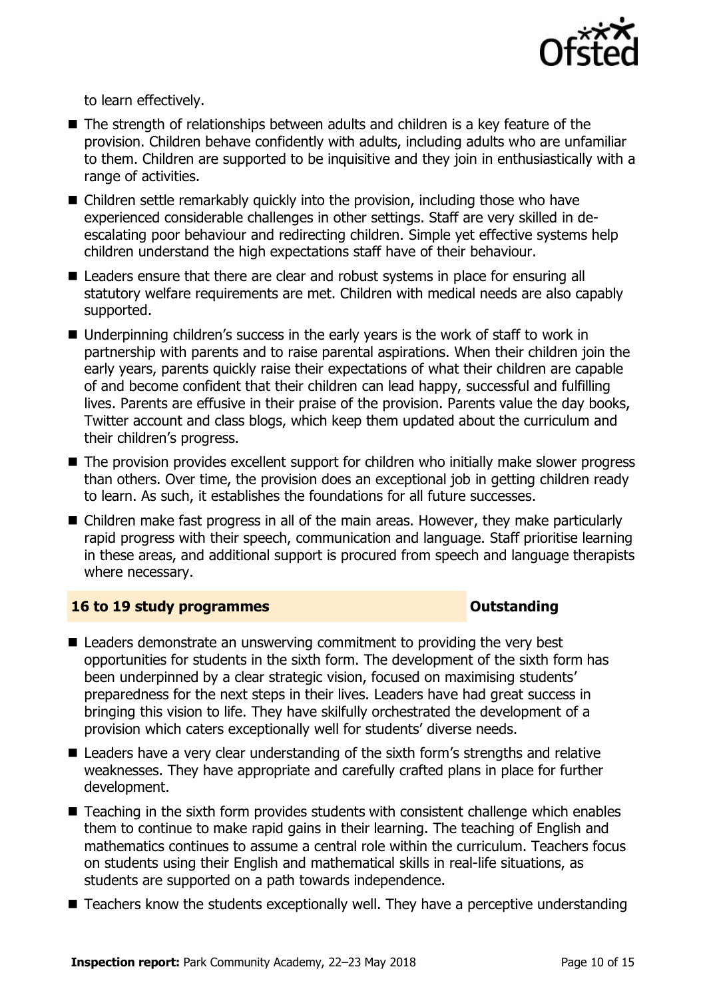

to learn effectively.

- The strength of relationships between adults and children is a key feature of the provision. Children behave confidently with adults, including adults who are unfamiliar to them. Children are supported to be inquisitive and they join in enthusiastically with a range of activities.
- Children settle remarkably quickly into the provision, including those who have experienced considerable challenges in other settings. Staff are very skilled in deescalating poor behaviour and redirecting children. Simple yet effective systems help children understand the high expectations staff have of their behaviour.
- Leaders ensure that there are clear and robust systems in place for ensuring all statutory welfare requirements are met. Children with medical needs are also capably supported.
- Underpinning children's success in the early years is the work of staff to work in partnership with parents and to raise parental aspirations. When their children join the early years, parents quickly raise their expectations of what their children are capable of and become confident that their children can lead happy, successful and fulfilling lives. Parents are effusive in their praise of the provision. Parents value the day books, Twitter account and class blogs, which keep them updated about the curriculum and their children's progress.
- The provision provides excellent support for children who initially make slower progress than others. Over time, the provision does an exceptional job in getting children ready to learn. As such, it establishes the foundations for all future successes.
- Children make fast progress in all of the main areas. However, they make particularly rapid progress with their speech, communication and language. Staff prioritise learning in these areas, and additional support is procured from speech and language therapists where necessary.

### **16 to 19 study programmes Distances Outstanding**

- Leaders demonstrate an unswerving commitment to providing the very best opportunities for students in the sixth form. The development of the sixth form has been underpinned by a clear strategic vision, focused on maximising students' preparedness for the next steps in their lives. Leaders have had great success in bringing this vision to life. They have skilfully orchestrated the development of a provision which caters exceptionally well for students' diverse needs.
- Leaders have a very clear understanding of the sixth form's strengths and relative weaknesses. They have appropriate and carefully crafted plans in place for further development.
- Teaching in the sixth form provides students with consistent challenge which enables them to continue to make rapid gains in their learning. The teaching of English and mathematics continues to assume a central role within the curriculum. Teachers focus on students using their English and mathematical skills in real-life situations, as students are supported on a path towards independence.
- Teachers know the students exceptionally well. They have a perceptive understanding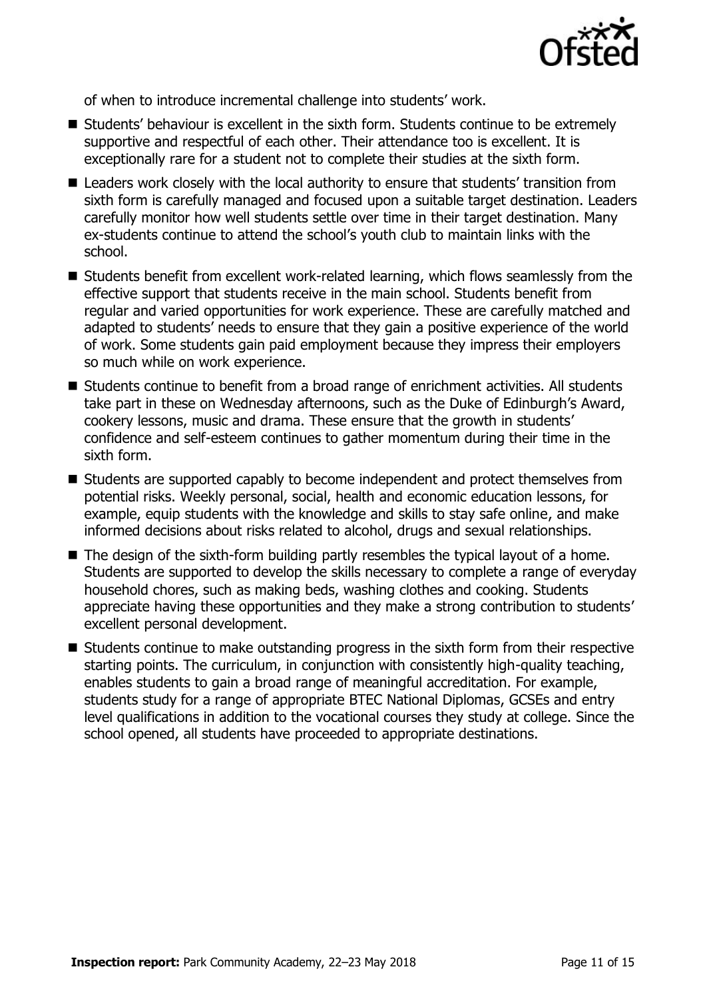

of when to introduce incremental challenge into students' work.

- Students' behaviour is excellent in the sixth form. Students continue to be extremely supportive and respectful of each other. Their attendance too is excellent. It is exceptionally rare for a student not to complete their studies at the sixth form.
- Leaders work closely with the local authority to ensure that students' transition from sixth form is carefully managed and focused upon a suitable target destination. Leaders carefully monitor how well students settle over time in their target destination. Many ex-students continue to attend the school's youth club to maintain links with the school.
- Students benefit from excellent work-related learning, which flows seamlessly from the effective support that students receive in the main school. Students benefit from regular and varied opportunities for work experience. These are carefully matched and adapted to students' needs to ensure that they gain a positive experience of the world of work. Some students gain paid employment because they impress their employers so much while on work experience.
- Students continue to benefit from a broad range of enrichment activities. All students take part in these on Wednesday afternoons, such as the Duke of Edinburgh's Award, cookery lessons, music and drama. These ensure that the growth in students' confidence and self-esteem continues to gather momentum during their time in the sixth form.
- Students are supported capably to become independent and protect themselves from potential risks. Weekly personal, social, health and economic education lessons, for example, equip students with the knowledge and skills to stay safe online, and make informed decisions about risks related to alcohol, drugs and sexual relationships.
- The design of the sixth-form building partly resembles the typical layout of a home. Students are supported to develop the skills necessary to complete a range of everyday household chores, such as making beds, washing clothes and cooking. Students appreciate having these opportunities and they make a strong contribution to students' excellent personal development.
- Students continue to make outstanding progress in the sixth form from their respective starting points. The curriculum, in conjunction with consistently high-quality teaching, enables students to gain a broad range of meaningful accreditation. For example, students study for a range of appropriate BTEC National Diplomas, GCSEs and entry level qualifications in addition to the vocational courses they study at college. Since the school opened, all students have proceeded to appropriate destinations.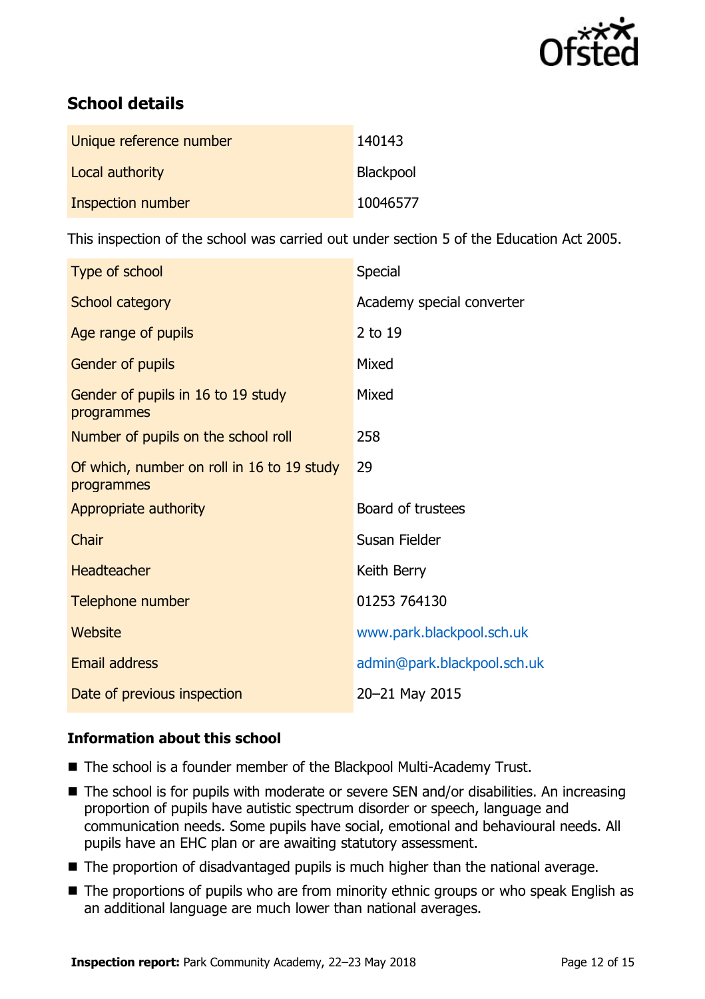

# **School details**

| Unique reference number | 140143    |
|-------------------------|-----------|
| Local authority         | Blackpool |
| Inspection number       | 10046577  |

This inspection of the school was carried out under section 5 of the Education Act 2005.

| Type of school                                           | Special                     |
|----------------------------------------------------------|-----------------------------|
| <b>School category</b>                                   | Academy special converter   |
| Age range of pupils                                      | 2 to 19                     |
| Gender of pupils                                         | Mixed                       |
| Gender of pupils in 16 to 19 study<br>programmes         | Mixed                       |
| Number of pupils on the school roll                      | 258                         |
| Of which, number on roll in 16 to 19 study<br>programmes | 29                          |
| Appropriate authority                                    | Board of trustees           |
| Chair                                                    | Susan Fielder               |
| <b>Headteacher</b>                                       | Keith Berry                 |
| Telephone number                                         | 01253 764130                |
| Website                                                  | www.park.blackpool.sch.uk   |
| Email address                                            | admin@park.blackpool.sch.uk |
| Date of previous inspection                              | 20-21 May 2015              |

### **Information about this school**

- The school is a founder member of the Blackpool Multi-Academy Trust.
- The school is for pupils with moderate or severe SEN and/or disabilities. An increasing proportion of pupils have autistic spectrum disorder or speech, language and communication needs. Some pupils have social, emotional and behavioural needs. All pupils have an EHC plan or are awaiting statutory assessment.
- The proportion of disadvantaged pupils is much higher than the national average.
- The proportions of pupils who are from minority ethnic groups or who speak English as an additional language are much lower than national averages.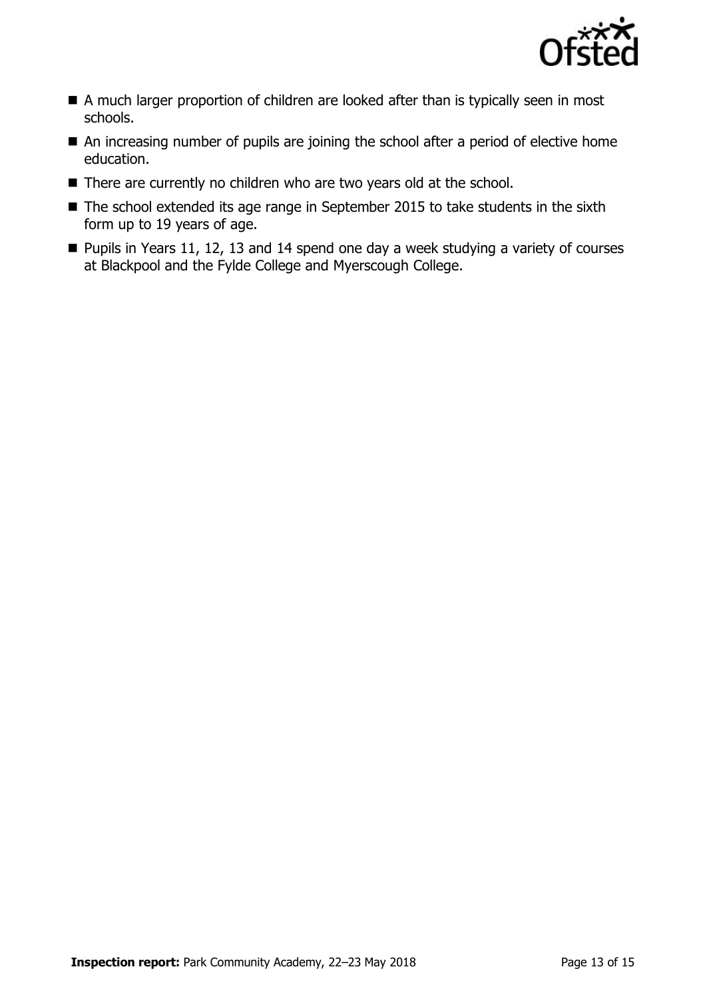

- A much larger proportion of children are looked after than is typically seen in most schools.
- An increasing number of pupils are joining the school after a period of elective home education.
- There are currently no children who are two years old at the school.
- The school extended its age range in September 2015 to take students in the sixth form up to 19 years of age.
- $\blacksquare$  Pupils in Years 11, 12, 13 and 14 spend one day a week studying a variety of courses at Blackpool and the Fylde College and Myerscough College.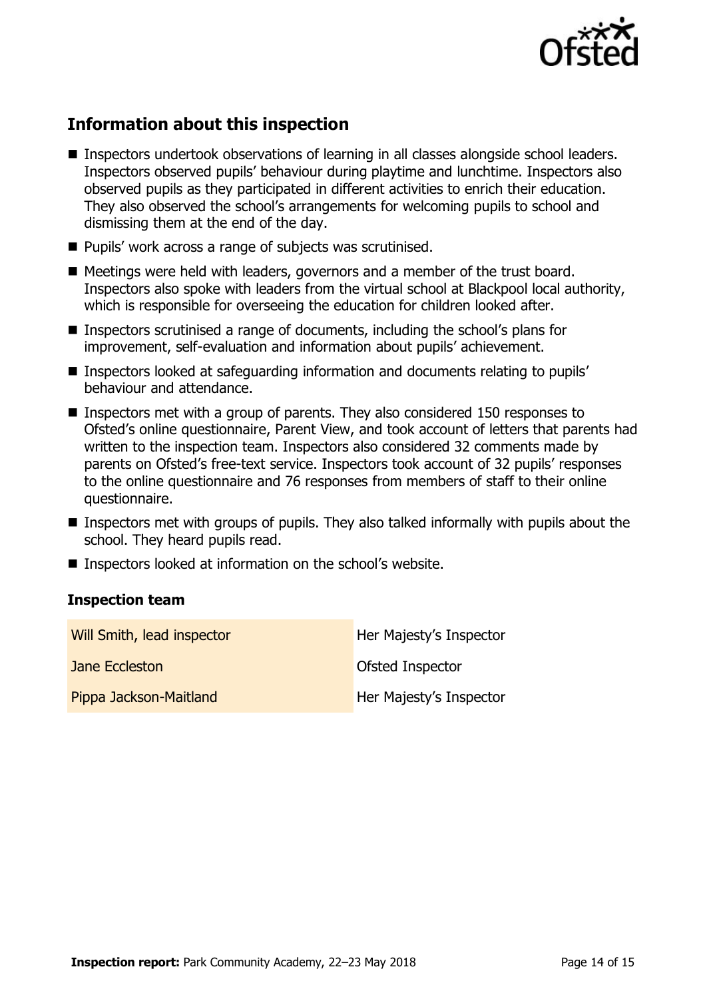

# **Information about this inspection**

- Inspectors undertook observations of learning in all classes alongside school leaders. Inspectors observed pupils' behaviour during playtime and lunchtime. Inspectors also observed pupils as they participated in different activities to enrich their education. They also observed the school's arrangements for welcoming pupils to school and dismissing them at the end of the day.
- Pupils' work across a range of subjects was scrutinised.
- Meetings were held with leaders, governors and a member of the trust board. Inspectors also spoke with leaders from the virtual school at Blackpool local authority, which is responsible for overseeing the education for children looked after.
- Inspectors scrutinised a range of documents, including the school's plans for improvement, self-evaluation and information about pupils' achievement.
- Inspectors looked at safeguarding information and documents relating to pupils' behaviour and attendance.
- Inspectors met with a group of parents. They also considered 150 responses to Ofsted's online questionnaire, Parent View, and took account of letters that parents had written to the inspection team. Inspectors also considered 32 comments made by parents on Ofsted's free-text service. Inspectors took account of 32 pupils' responses to the online questionnaire and 76 responses from members of staff to their online questionnaire.
- Inspectors met with groups of pupils. They also talked informally with pupils about the school. They heard pupils read.
- Inspectors looked at information on the school's website.

#### **Inspection team**

| Will Smith, lead inspector | Her Majesty's Inspector |
|----------------------------|-------------------------|
| Jane Eccleston             | Ofsted Inspector        |
| Pippa Jackson-Maitland     | Her Majesty's Inspector |